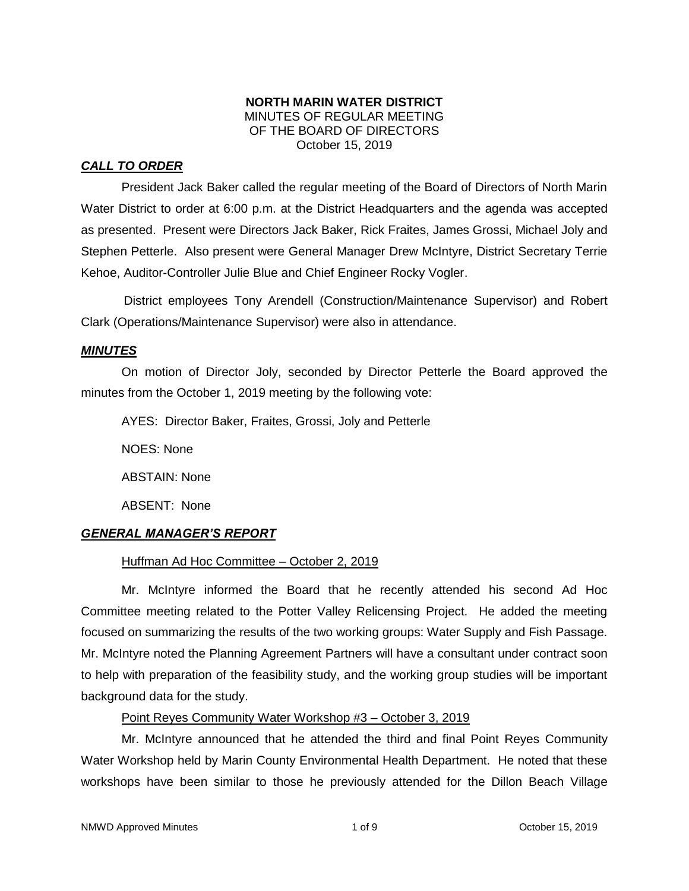## **NORTH MARIN WATER DISTRICT** MINUTES OF REGULAR MEETING OF THE BOARD OF DIRECTORS October 15, 2019

# *CALL TO ORDER*

President Jack Baker called the regular meeting of the Board of Directors of North Marin Water District to order at 6:00 p.m. at the District Headquarters and the agenda was accepted as presented. Present were Directors Jack Baker, Rick Fraites, James Grossi, Michael Joly and Stephen Petterle. Also present were General Manager Drew McIntyre, District Secretary Terrie Kehoe, Auditor-Controller Julie Blue and Chief Engineer Rocky Vogler.

District employees Tony Arendell (Construction/Maintenance Supervisor) and Robert Clark (Operations/Maintenance Supervisor) were also in attendance.

## *MINUTES*

On motion of Director Joly, seconded by Director Petterle the Board approved the minutes from the October 1, 2019 meeting by the following vote:

AYES: Director Baker, Fraites, Grossi, Joly and Petterle

NOES: None

ABSTAIN: None

ABSENT: None

# *GENERAL MANAGER'S REPORT*

# Huffman Ad Hoc Committee – October 2, 2019

Mr. McIntyre informed the Board that he recently attended his second Ad Hoc Committee meeting related to the Potter Valley Relicensing Project. He added the meeting focused on summarizing the results of the two working groups: Water Supply and Fish Passage. Mr. McIntyre noted the Planning Agreement Partners will have a consultant under contract soon to help with preparation of the feasibility study, and the working group studies will be important background data for the study.

# Point Reyes Community Water Workshop #3 – October 3, 2019

Mr. McIntyre announced that he attended the third and final Point Reyes Community Water Workshop held by Marin County Environmental Health Department. He noted that these workshops have been similar to those he previously attended for the Dillon Beach Village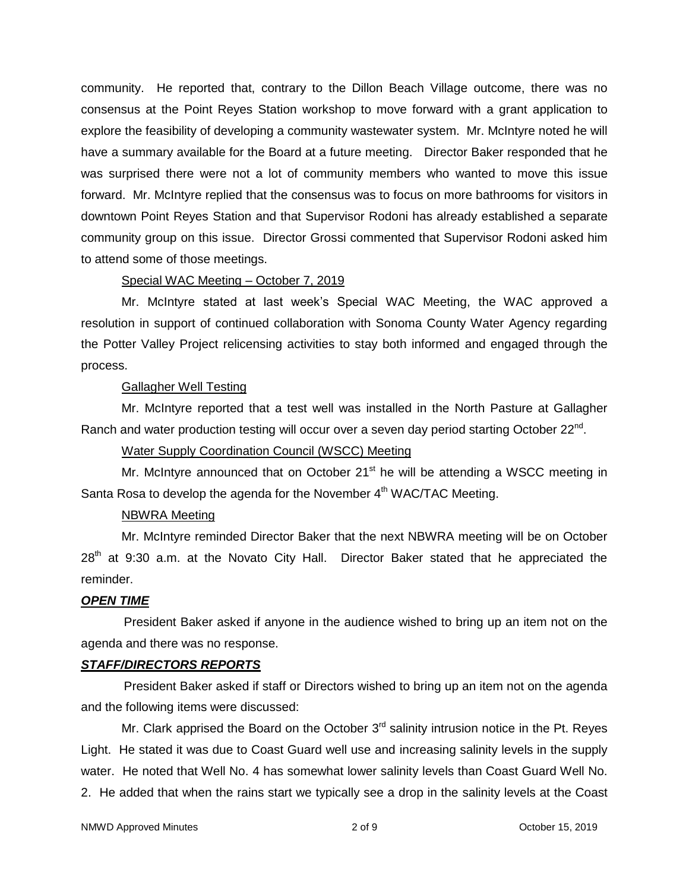community. He reported that, contrary to the Dillon Beach Village outcome, there was no consensus at the Point Reyes Station workshop to move forward with a grant application to explore the feasibility of developing a community wastewater system. Mr. McIntyre noted he will have a summary available for the Board at a future meeting. Director Baker responded that he was surprised there were not a lot of community members who wanted to move this issue forward. Mr. McIntyre replied that the consensus was to focus on more bathrooms for visitors in downtown Point Reyes Station and that Supervisor Rodoni has already established a separate community group on this issue. Director Grossi commented that Supervisor Rodoni asked him to attend some of those meetings.

#### Special WAC Meeting – October 7, 2019

Mr. McIntyre stated at last week's Special WAC Meeting, the WAC approved a resolution in support of continued collaboration with Sonoma County Water Agency regarding the Potter Valley Project relicensing activities to stay both informed and engaged through the process.

## Gallagher Well Testing

Mr. McIntyre reported that a test well was installed in the North Pasture at Gallagher Ranch and water production testing will occur over a seven day period starting October 22<sup>nd</sup>.

## Water Supply Coordination Council (WSCC) Meeting

Mr. McIntyre announced that on October 21<sup>st</sup> he will be attending a WSCC meeting in Santa Rosa to develop the agenda for the November  $4<sup>th</sup>$  WAC/TAC Meeting.

## NBWRA Meeting

Mr. McIntyre reminded Director Baker that the next NBWRA meeting will be on October  $28<sup>th</sup>$  at 9:30 a.m. at the Novato City Hall. Director Baker stated that he appreciated the reminder.

## *OPEN TIME*

President Baker asked if anyone in the audience wished to bring up an item not on the agenda and there was no response.

## *STAFF/DIRECTORS REPORTS*

President Baker asked if staff or Directors wished to bring up an item not on the agenda and the following items were discussed:

Mr. Clark apprised the Board on the October  $3<sup>rd</sup>$  salinity intrusion notice in the Pt. Reyes Light. He stated it was due to Coast Guard well use and increasing salinity levels in the supply water. He noted that Well No. 4 has somewhat lower salinity levels than Coast Guard Well No. 2. He added that when the rains start we typically see a drop in the salinity levels at the Coast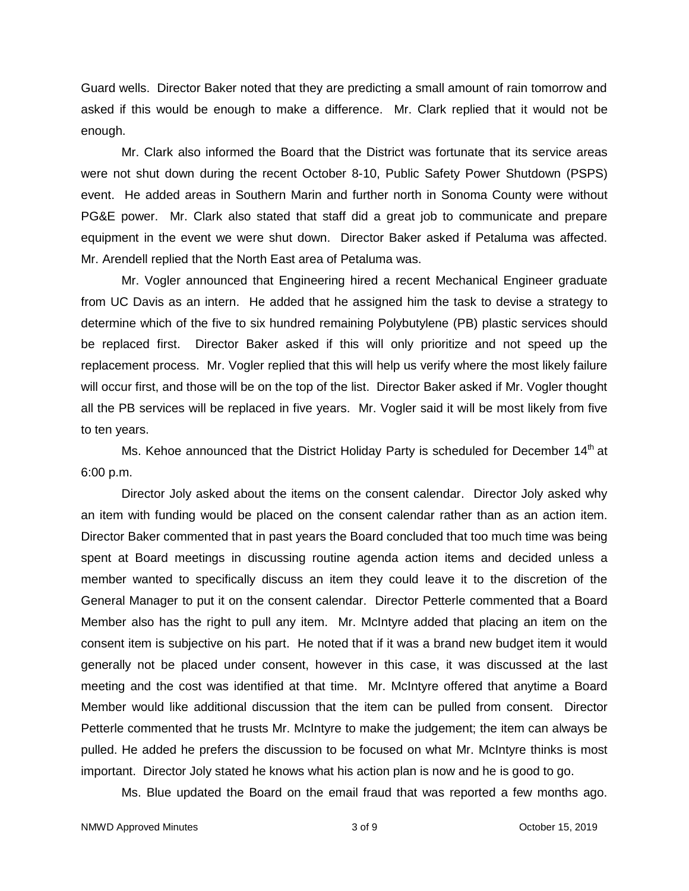Guard wells. Director Baker noted that they are predicting a small amount of rain tomorrow and asked if this would be enough to make a difference. Mr. Clark replied that it would not be enough.

Mr. Clark also informed the Board that the District was fortunate that its service areas were not shut down during the recent October 8-10, Public Safety Power Shutdown (PSPS) event. He added areas in Southern Marin and further north in Sonoma County were without PG&E power. Mr. Clark also stated that staff did a great job to communicate and prepare equipment in the event we were shut down. Director Baker asked if Petaluma was affected. Mr. Arendell replied that the North East area of Petaluma was.

Mr. Vogler announced that Engineering hired a recent Mechanical Engineer graduate from UC Davis as an intern. He added that he assigned him the task to devise a strategy to determine which of the five to six hundred remaining Polybutylene (PB) plastic services should be replaced first. Director Baker asked if this will only prioritize and not speed up the replacement process. Mr. Vogler replied that this will help us verify where the most likely failure will occur first, and those will be on the top of the list. Director Baker asked if Mr. Vogler thought all the PB services will be replaced in five years. Mr. Vogler said it will be most likely from five to ten years.

Ms. Kehoe announced that the District Holiday Party is scheduled for December 14<sup>th</sup> at 6:00 p.m.

Director Joly asked about the items on the consent calendar. Director Joly asked why an item with funding would be placed on the consent calendar rather than as an action item. Director Baker commented that in past years the Board concluded that too much time was being spent at Board meetings in discussing routine agenda action items and decided unless a member wanted to specifically discuss an item they could leave it to the discretion of the General Manager to put it on the consent calendar. Director Petterle commented that a Board Member also has the right to pull any item. Mr. McIntyre added that placing an item on the consent item is subjective on his part. He noted that if it was a brand new budget item it would generally not be placed under consent, however in this case, it was discussed at the last meeting and the cost was identified at that time. Mr. McIntyre offered that anytime a Board Member would like additional discussion that the item can be pulled from consent. Director Petterle commented that he trusts Mr. McIntyre to make the judgement; the item can always be pulled. He added he prefers the discussion to be focused on what Mr. McIntyre thinks is most important. Director Joly stated he knows what his action plan is now and he is good to go.

Ms. Blue updated the Board on the email fraud that was reported a few months ago.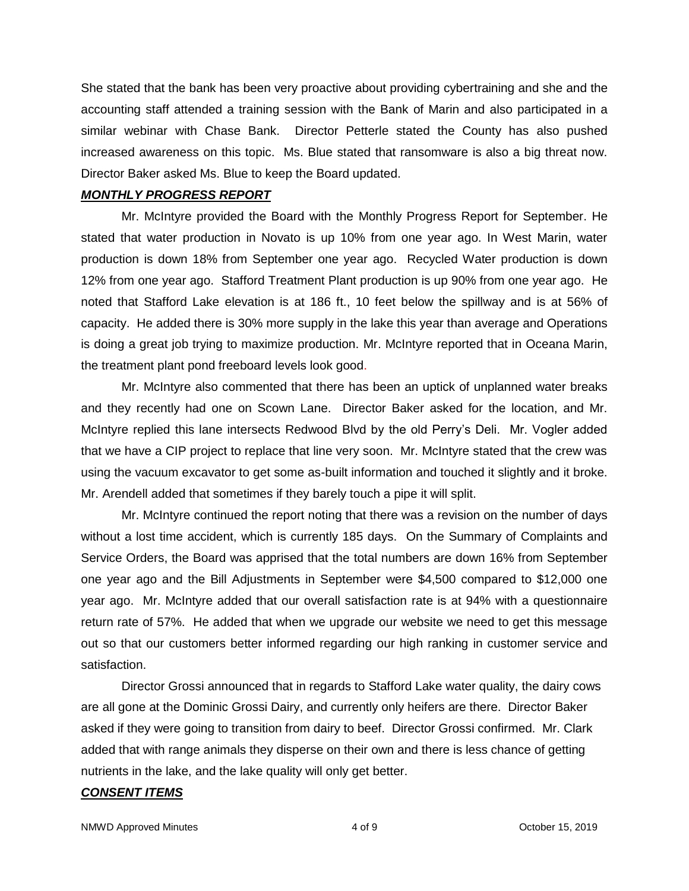She stated that the bank has been very proactive about providing cybertraining and she and the accounting staff attended a training session with the Bank of Marin and also participated in a similar webinar with Chase Bank. Director Petterle stated the County has also pushed increased awareness on this topic. Ms. Blue stated that ransomware is also a big threat now. Director Baker asked Ms. Blue to keep the Board updated.

#### *MONTHLY PROGRESS REPORT*

Mr. McIntyre provided the Board with the Monthly Progress Report for September. He stated that water production in Novato is up 10% from one year ago. In West Marin, water production is down 18% from September one year ago. Recycled Water production is down 12% from one year ago. Stafford Treatment Plant production is up 90% from one year ago. He noted that Stafford Lake elevation is at 186 ft., 10 feet below the spillway and is at 56% of capacity. He added there is 30% more supply in the lake this year than average and Operations is doing a great job trying to maximize production. Mr. McIntyre reported that in Oceana Marin, the treatment plant pond freeboard levels look good.

Mr. McIntyre also commented that there has been an uptick of unplanned water breaks and they recently had one on Scown Lane. Director Baker asked for the location, and Mr. McIntyre replied this lane intersects Redwood Blvd by the old Perry's Deli. Mr. Vogler added that we have a CIP project to replace that line very soon. Mr. McIntyre stated that the crew was using the vacuum excavator to get some as-built information and touched it slightly and it broke. Mr. Arendell added that sometimes if they barely touch a pipe it will split.

Mr. McIntyre continued the report noting that there was a revision on the number of days without a lost time accident, which is currently 185 days. On the Summary of Complaints and Service Orders, the Board was apprised that the total numbers are down 16% from September one year ago and the Bill Adjustments in September were \$4,500 compared to \$12,000 one year ago. Mr. McIntyre added that our overall satisfaction rate is at 94% with a questionnaire return rate of 57%. He added that when we upgrade our website we need to get this message out so that our customers better informed regarding our high ranking in customer service and satisfaction.

Director Grossi announced that in regards to Stafford Lake water quality, the dairy cows are all gone at the Dominic Grossi Dairy, and currently only heifers are there. Director Baker asked if they were going to transition from dairy to beef. Director Grossi confirmed. Mr. Clark added that with range animals they disperse on their own and there is less chance of getting nutrients in the lake, and the lake quality will only get better.

#### *CONSENT ITEMS*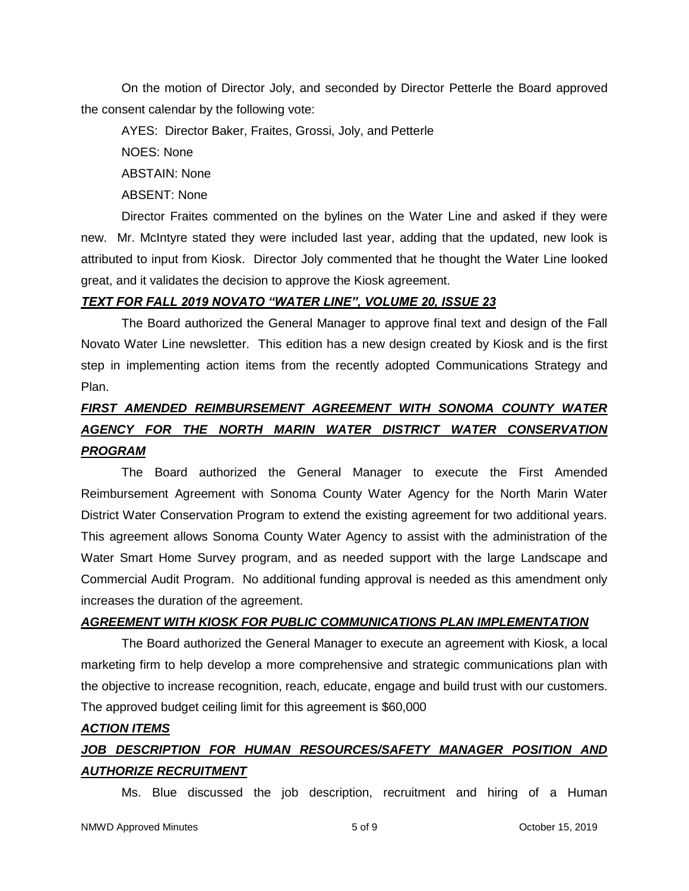On the motion of Director Joly, and seconded by Director Petterle the Board approved the consent calendar by the following vote:

AYES: Director Baker, Fraites, Grossi, Joly, and Petterle NOES: None ABSTAIN: None

ABSENT: None

Director Fraites commented on the bylines on the Water Line and asked if they were new. Mr. McIntyre stated they were included last year, adding that the updated, new look is attributed to input from Kiosk. Director Joly commented that he thought the Water Line looked great, and it validates the decision to approve the Kiosk agreement.

# *TEXT FOR FALL 2019 NOVATO "WATER LINE", VOLUME 20, ISSUE 23*

The Board authorized the General Manager to approve final text and design of the Fall Novato Water Line newsletter. This edition has a new design created by Kiosk and is the first step in implementing action items from the recently adopted Communications Strategy and Plan.

# *FIRST AMENDED REIMBURSEMENT AGREEMENT WITH SONOMA COUNTY WATER AGENCY FOR THE NORTH MARIN WATER DISTRICT WATER CONSERVATION PROGRAM*

The Board authorized the General Manager to execute the First Amended Reimbursement Agreement with Sonoma County Water Agency for the North Marin Water District Water Conservation Program to extend the existing agreement for two additional years. This agreement allows Sonoma County Water Agency to assist with the administration of the Water Smart Home Survey program, and as needed support with the large Landscape and Commercial Audit Program. No additional funding approval is needed as this amendment only increases the duration of the agreement.

# *AGREEMENT WITH KIOSK FOR PUBLIC COMMUNICATIONS PLAN IMPLEMENTATION*

The Board authorized the General Manager to execute an agreement with Kiosk, a local marketing firm to help develop a more comprehensive and strategic communications plan with the objective to increase recognition, reach, educate, engage and build trust with our customers. The approved budget ceiling limit for this agreement is \$60,000

# *ACTION ITEMS*

# JOB DESCRIPTION FOR HUMAN RESOURCES/SAFETY MANAGER POSITION AND *AUTHORIZE RECRUITMENT*

Ms. Blue discussed the job description, recruitment and hiring of a Human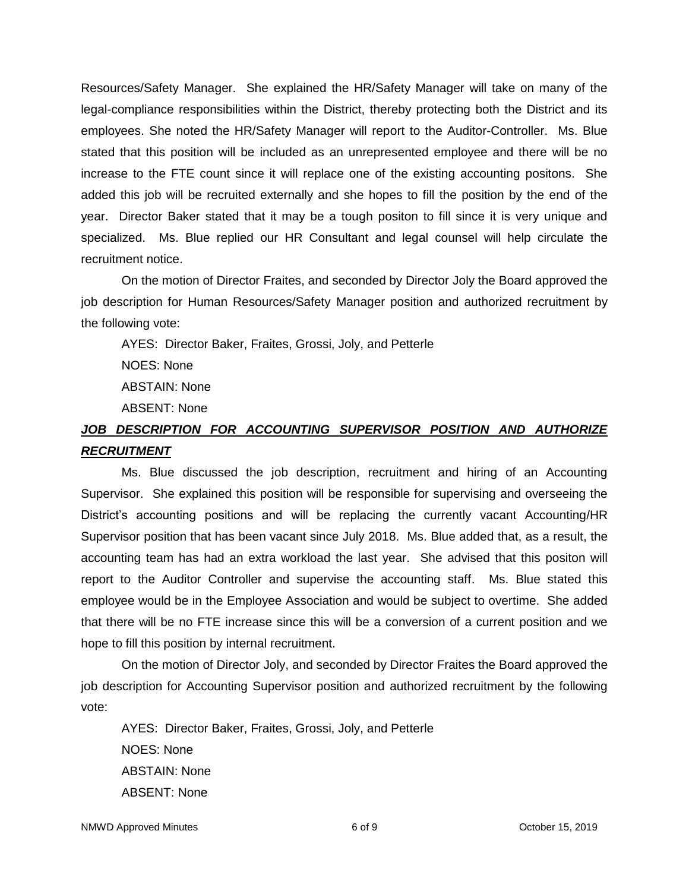Resources/Safety Manager. She explained the HR/Safety Manager will take on many of the legal-compliance responsibilities within the District, thereby protecting both the District and its employees. She noted the HR/Safety Manager will report to the Auditor-Controller. Ms. Blue stated that this position will be included as an unrepresented employee and there will be no increase to the FTE count since it will replace one of the existing accounting positons. She added this job will be recruited externally and she hopes to fill the position by the end of the year. Director Baker stated that it may be a tough positon to fill since it is very unique and specialized. Ms. Blue replied our HR Consultant and legal counsel will help circulate the recruitment notice.

On the motion of Director Fraites, and seconded by Director Joly the Board approved the job description for Human Resources/Safety Manager position and authorized recruitment by the following vote:

AYES: Director Baker, Fraites, Grossi, Joly, and Petterle

NOES: None

ABSTAIN: None

ABSENT: None

# *JOB DESCRIPTION FOR ACCOUNTING SUPERVISOR POSITION AND AUTHORIZE RECRUITMENT*

Ms. Blue discussed the job description, recruitment and hiring of an Accounting Supervisor. She explained this position will be responsible for supervising and overseeing the District's accounting positions and will be replacing the currently vacant Accounting/HR Supervisor position that has been vacant since July 2018. Ms. Blue added that, as a result, the accounting team has had an extra workload the last year. She advised that this positon will report to the Auditor Controller and supervise the accounting staff. Ms. Blue stated this employee would be in the Employee Association and would be subject to overtime. She added that there will be no FTE increase since this will be a conversion of a current position and we hope to fill this position by internal recruitment.

On the motion of Director Joly, and seconded by Director Fraites the Board approved the job description for Accounting Supervisor position and authorized recruitment by the following vote:

AYES: Director Baker, Fraites, Grossi, Joly, and Petterle NOES: None ABSTAIN: None ABSENT: None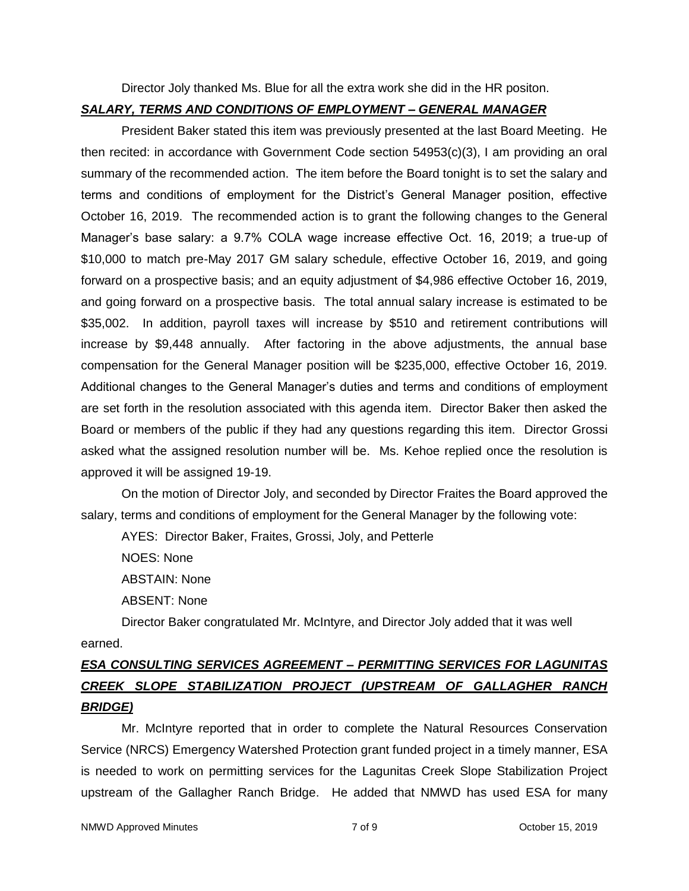Director Joly thanked Ms. Blue for all the extra work she did in the HR positon.

#### *SALARY, TERMS AND CONDITIONS OF EMPLOYMENT – GENERAL MANAGER*

President Baker stated this item was previously presented at the last Board Meeting. He then recited: in accordance with Government Code section 54953(c)(3), I am providing an oral summary of the recommended action. The item before the Board tonight is to set the salary and terms and conditions of employment for the District's General Manager position, effective October 16, 2019. The recommended action is to grant the following changes to the General Manager's base salary: a 9.7% COLA wage increase effective Oct. 16, 2019; a true-up of \$10,000 to match pre-May 2017 GM salary schedule, effective October 16, 2019, and going forward on a prospective basis; and an equity adjustment of \$4,986 effective October 16, 2019, and going forward on a prospective basis. The total annual salary increase is estimated to be \$35,002. In addition, payroll taxes will increase by \$510 and retirement contributions will increase by \$9,448 annually. After factoring in the above adjustments, the annual base compensation for the General Manager position will be \$235,000, effective October 16, 2019. Additional changes to the General Manager's duties and terms and conditions of employment are set forth in the resolution associated with this agenda item. Director Baker then asked the Board or members of the public if they had any questions regarding this item. Director Grossi asked what the assigned resolution number will be. Ms. Kehoe replied once the resolution is approved it will be assigned 19-19.

On the motion of Director Joly, and seconded by Director Fraites the Board approved the salary, terms and conditions of employment for the General Manager by the following vote:

AYES: Director Baker, Fraites, Grossi, Joly, and Petterle

NOES: None

ABSTAIN: None

ABSENT: None

Director Baker congratulated Mr. McIntyre, and Director Joly added that it was well earned.

# *ESA CONSULTING SERVICES AGREEMENT – PERMITTING SERVICES FOR LAGUNITAS CREEK SLOPE STABILIZATION PROJECT (UPSTREAM OF GALLAGHER RANCH BRIDGE)*

Mr. McIntyre reported that in order to complete the Natural Resources Conservation Service (NRCS) Emergency Watershed Protection grant funded project in a timely manner, ESA is needed to work on permitting services for the Lagunitas Creek Slope Stabilization Project upstream of the Gallagher Ranch Bridge. He added that NMWD has used ESA for many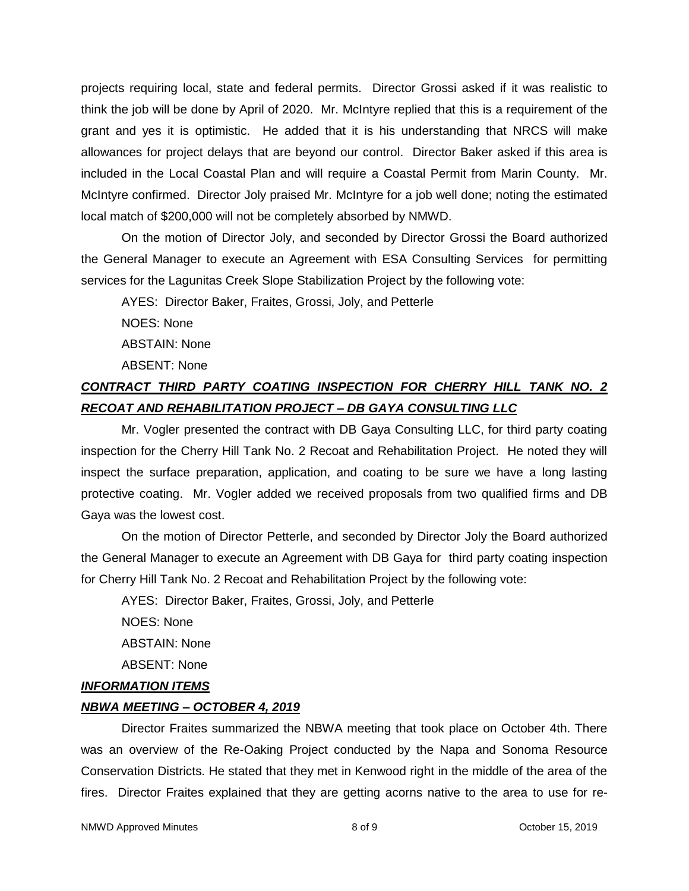projects requiring local, state and federal permits. Director Grossi asked if it was realistic to think the job will be done by April of 2020. Mr. McIntyre replied that this is a requirement of the grant and yes it is optimistic. He added that it is his understanding that NRCS will make allowances for project delays that are beyond our control. Director Baker asked if this area is included in the Local Coastal Plan and will require a Coastal Permit from Marin County. Mr. McIntyre confirmed. Director Joly praised Mr. McIntyre for a job well done; noting the estimated local match of \$200,000 will not be completely absorbed by NMWD.

On the motion of Director Joly, and seconded by Director Grossi the Board authorized the General Manager to execute an Agreement with ESA Consulting Services for permitting services for the Lagunitas Creek Slope Stabilization Project by the following vote:

AYES: Director Baker, Fraites, Grossi, Joly, and Petterle

NOES: None

ABSTAIN: None

ABSENT: None

# *CONTRACT THIRD PARTY COATING INSPECTION FOR CHERRY HILL TANK NO. 2 RECOAT AND REHABILITATION PROJECT – DB GAYA CONSULTING LLC*

Mr. Vogler presented the contract with DB Gaya Consulting LLC, for third party coating inspection for the Cherry Hill Tank No. 2 Recoat and Rehabilitation Project. He noted they will inspect the surface preparation, application, and coating to be sure we have a long lasting protective coating. Mr. Vogler added we received proposals from two qualified firms and DB Gaya was the lowest cost.

On the motion of Director Petterle, and seconded by Director Joly the Board authorized the General Manager to execute an Agreement with DB Gaya for third party coating inspection for Cherry Hill Tank No. 2 Recoat and Rehabilitation Project by the following vote:

AYES: Director Baker, Fraites, Grossi, Joly, and Petterle

NOES: None

ABSTAIN: None

ABSENT: None

## *INFORMATION ITEMS*

## *NBWA MEETING – OCTOBER 4, 2019*

Director Fraites summarized the NBWA meeting that took place on October 4th. There was an overview of the Re-Oaking Project conducted by the Napa and Sonoma Resource Conservation Districts. He stated that they met in Kenwood right in the middle of the area of the fires. Director Fraites explained that they are getting acorns native to the area to use for re